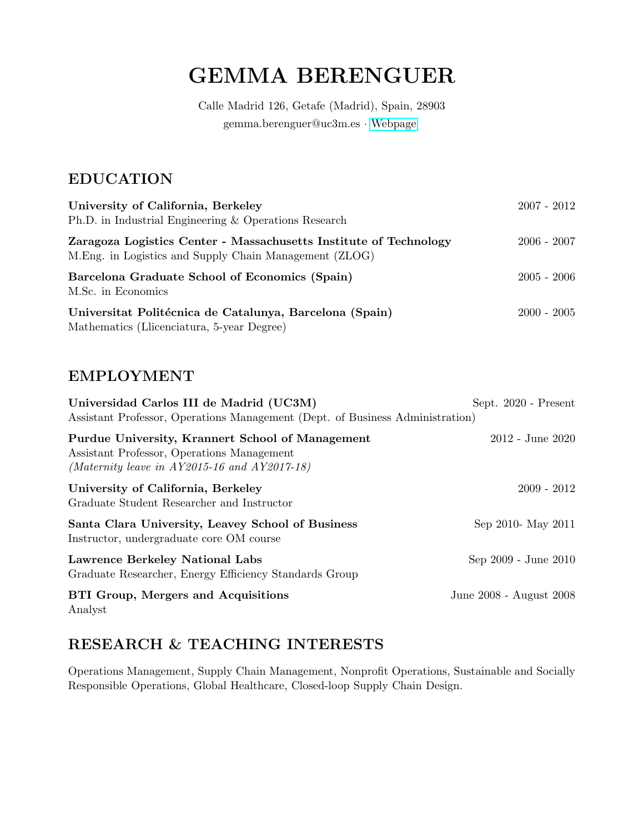# GEMMA BERENGUER

Calle Madrid 126, Getafe (Madrid), Spain, 28903 gemma.berenguer@uc3m.es · [Webpage](https://business.uc3m.es/en/faculty/profesor/perfil/gemma-berenguer)

### EDUCATION

| University of California, Berkeley<br>Ph.D. in Industrial Engineering & Operations Research                                  | $2007 - 2012$ |
|------------------------------------------------------------------------------------------------------------------------------|---------------|
| Zaragoza Logistics Center - Massachusetts Institute of Technology<br>M. Eng. in Logistics and Supply Chain Management (ZLOG) | $2006 - 2007$ |
| Barcelona Graduate School of Economics (Spain)<br>M.Sc. in Economics                                                         | $2005 - 2006$ |
| Universitat Politécnica de Catalunya, Barcelona (Spain)<br>Mathematics (Llicenciatura, 5-year Degree)                        | $2000 - 2005$ |

### EMPLOYMENT

| Universidad Carlos III de Madrid (UC3M)<br>Assistant Professor, Operations Management (Dept. of Business Administration)                       | Sept. 2020 - Present    |
|------------------------------------------------------------------------------------------------------------------------------------------------|-------------------------|
| Purdue University, Krannert School of Management<br>Assistant Professor, Operations Management<br>(Maternity leave in AY2015-16 and AY2017-18) | $2012$ - June $2020$    |
| University of California, Berkeley<br>Graduate Student Researcher and Instructor                                                               | $2009 - 2012$           |
| Santa Clara University, Leavey School of Business<br>Instructor, undergraduate core OM course                                                  | Sep 2010- May 2011      |
| Lawrence Berkeley National Labs<br>Graduate Researcher, Energy Efficiency Standards Group                                                      | Sep 2009 - June 2010    |
| <b>BTI Group, Mergers and Acquisitions</b><br>Analyst                                                                                          | June 2008 - August 2008 |

# RESEARCH & TEACHING INTERESTS

Operations Management, Supply Chain Management, Nonprofit Operations, Sustainable and Socially Responsible Operations, Global Healthcare, Closed-loop Supply Chain Design.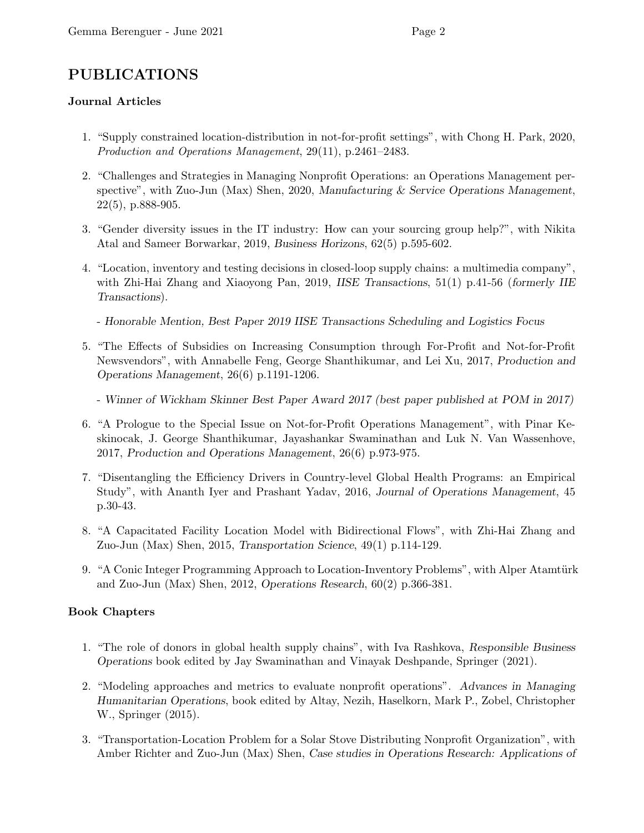# PUBLICATIONS

### Journal Articles

- 1. "Supply constrained location-distribution in not-for-profit settings", with Chong H. Park, 2020, Production and Operations Management, 29(11), p.2461–2483.
- 2. "Challenges and Strategies in Managing Nonprofit Operations: an Operations Management perspective", with Zuo-Jun (Max) Shen, 2020, Manufacturing & Service Operations Management, 22(5), p.888-905.
- 3. "Gender diversity issues in the IT industry: How can your sourcing group help?", with Nikita Atal and Sameer Borwarkar, 2019, Business Horizons, 62(5) p.595-602.
- 4. "Location, inventory and testing decisions in closed-loop supply chains: a multimedia company", with Zhi-Hai Zhang and Xiaoyong Pan, 2019, IISE Transactions, 51(1) p.41-56 (formerly IIE Transactions).
	- Honorable Mention, Best Paper 2019 IISE Transactions Scheduling and Logistics Focus
- 5. "The Effects of Subsidies on Increasing Consumption through For-Profit and Not-for-Profit Newsvendors", with Annabelle Feng, George Shanthikumar, and Lei Xu, 2017, Production and Operations Management, 26(6) p.1191-1206.
	- Winner of Wickham Skinner Best Paper Award 2017 (best paper published at POM in 2017)
- 6. "A Prologue to the Special Issue on Not-for-Profit Operations Management", with Pinar Keskinocak, J. George Shanthikumar, Jayashankar Swaminathan and Luk N. Van Wassenhove, 2017, Production and Operations Management, 26(6) p.973-975.
- 7. "Disentangling the Efficiency Drivers in Country-level Global Health Programs: an Empirical Study", with Ananth Iyer and Prashant Yadav, 2016, Journal of Operations Management, 45 p.30-43.
- 8. "A Capacitated Facility Location Model with Bidirectional Flows", with Zhi-Hai Zhang and Zuo-Jun (Max) Shen, 2015, Transportation Science, 49(1) p.114-129.
- 9. "A Conic Integer Programming Approach to Location-Inventory Problems", with Alper Atamtürk and Zuo-Jun (Max) Shen, 2012, Operations Research, 60(2) p.366-381.

### Book Chapters

- 1. "The role of donors in global health supply chains", with Iva Rashkova, Responsible Business Operations book edited by Jay Swaminathan and Vinayak Deshpande, Springer (2021).
- 2. "Modeling approaches and metrics to evaluate nonprofit operations". Advances in Managing Humanitarian Operations, book edited by Altay, Nezih, Haselkorn, Mark P., Zobel, Christopher W., Springer (2015).
- 3. "Transportation-Location Problem for a Solar Stove Distributing Nonprofit Organization", with Amber Richter and Zuo-Jun (Max) Shen, Case studies in Operations Research: Applications of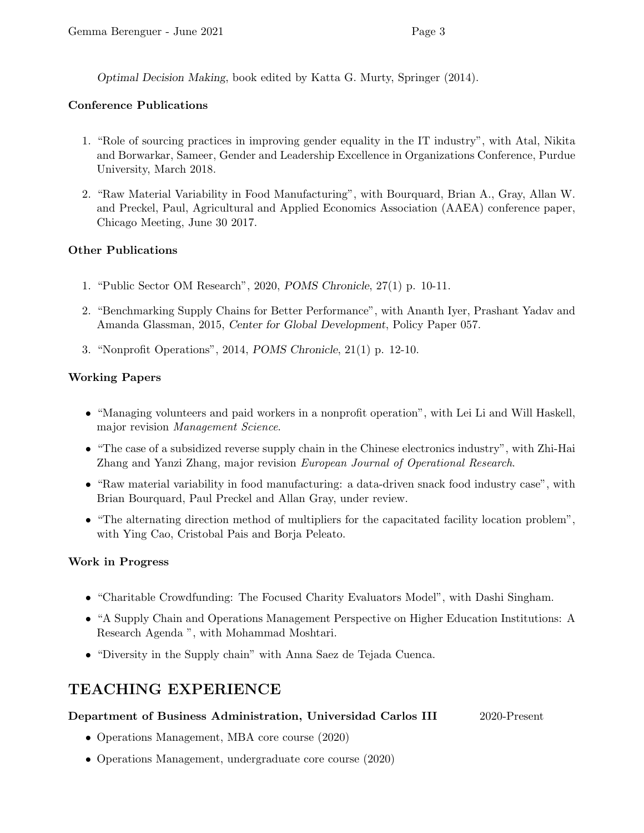Optimal Decision Making, book edited by Katta G. Murty, Springer (2014).

### Conference Publications

- 1. "Role of sourcing practices in improving gender equality in the IT industry", with Atal, Nikita and Borwarkar, Sameer, Gender and Leadership Excellence in Organizations Conference, Purdue University, March 2018.
- 2. "Raw Material Variability in Food Manufacturing", with Bourquard, Brian A., Gray, Allan W. and Preckel, Paul, Agricultural and Applied Economics Association (AAEA) conference paper, Chicago Meeting, June 30 2017.

### Other Publications

- 1. "Public Sector OM Research", 2020, POMS Chronicle, 27(1) p. 10-11.
- 2. "Benchmarking Supply Chains for Better Performance", with Ananth Iyer, Prashant Yadav and Amanda Glassman, 2015, Center for Global Development, Policy Paper 057.
- 3. "Nonprofit Operations", 2014, POMS Chronicle, 21(1) p. 12-10.

### Working Papers

- "Managing volunteers and paid workers in a nonprofit operation", with Lei Li and Will Haskell, major revision Management Science.
- "The case of a subsidized reverse supply chain in the Chinese electronics industry", with Zhi-Hai Zhang and Yanzi Zhang, major revision European Journal of Operational Research.
- "Raw material variability in food manufacturing: a data-driven snack food industry case", with Brian Bourquard, Paul Preckel and Allan Gray, under review.
- "The alternating direction method of multipliers for the capacitated facility location problem", with Ying Cao, Cristobal Pais and Borja Peleato.

### Work in Progress

- "Charitable Crowdfunding: The Focused Charity Evaluators Model", with Dashi Singham.
- "A Supply Chain and Operations Management Perspective on Higher Education Institutions: A Research Agenda ", with Mohammad Moshtari.
- "Diversity in the Supply chain" with Anna Saez de Tejada Cuenca.

### TEACHING EXPERIENCE

### Department of Business Administration, Universidad Carlos III 2020-Present

- Operations Management, MBA core course (2020)
- Operations Management, undergraduate core course (2020)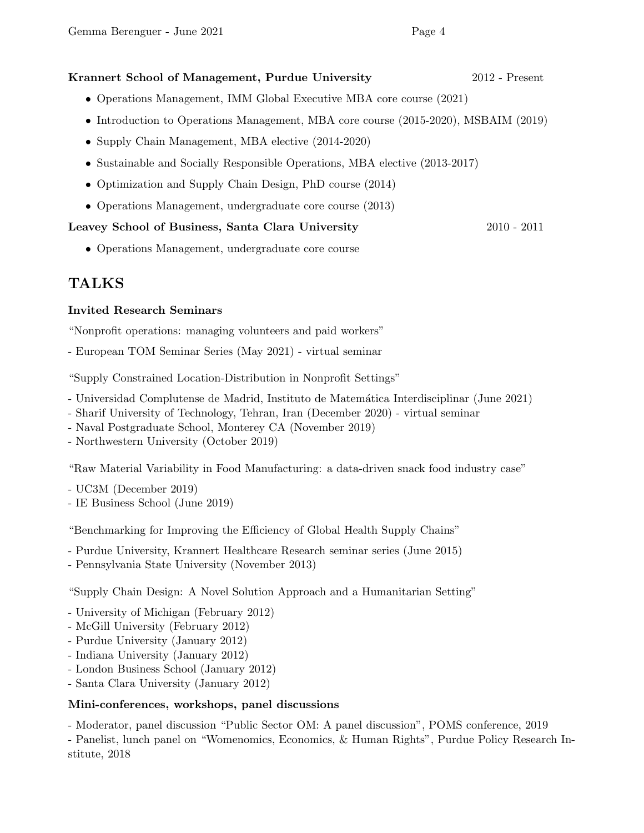### Krannert School of Management, Purdue University 2012 - Present

- Operations Management, IMM Global Executive MBA core course (2021)
- Introduction to Operations Management, MBA core course (2015-2020), MSBAIM (2019)
- Supply Chain Management, MBA elective  $(2014-2020)$
- Sustainable and Socially Responsible Operations, MBA elective (2013-2017)
- Optimization and Supply Chain Design, PhD course (2014)
- Operations Management, undergraduate core course (2013)

#### Leavey School of Business, Santa Clara University 2010 - 2011

• Operations Management, undergraduate core course

### TALKS

#### Invited Research Seminars

"Nonprofit operations: managing volunteers and paid workers"

- European TOM Seminar Series (May 2021) - virtual seminar

"Supply Constrained Location-Distribution in Nonprofit Settings"

- Universidad Complutense de Madrid, Instituto de Matem´atica Interdisciplinar (June 2021)
- Sharif University of Technology, Tehran, Iran (December 2020) virtual seminar
- Naval Postgraduate School, Monterey CA (November 2019)
- Northwestern University (October 2019)

"Raw Material Variability in Food Manufacturing: a data-driven snack food industry case"

- UC3M (December 2019)
- IE Business School (June 2019)

"Benchmarking for Improving the Efficiency of Global Health Supply Chains"

- Purdue University, Krannert Healthcare Research seminar series (June 2015)
- Pennsylvania State University (November 2013)

"Supply Chain Design: A Novel Solution Approach and a Humanitarian Setting"

- University of Michigan (February 2012)
- McGill University (February 2012)
- Purdue University (January 2012)
- Indiana University (January 2012)
- London Business School (January 2012)
- Santa Clara University (January 2012)

#### Mini-conferences, workshops, panel discussions

- Moderator, panel discussion "Public Sector OM: A panel discussion", POMS conference, 2019 - Panelist, lunch panel on "Womenomics, Economics, & Human Rights", Purdue Policy Research Institute, 2018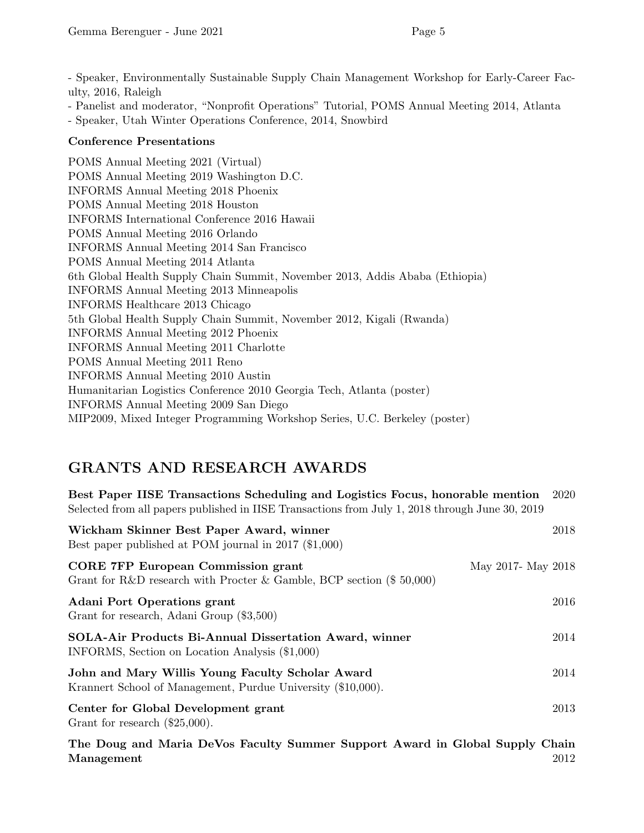- Speaker, Environmentally Sustainable Supply Chain Management Workshop for Early-Career Faculty, 2016, Raleigh

- Panelist and moderator, "Nonprofit Operations" Tutorial, POMS Annual Meeting 2014, Atlanta

- Speaker, Utah Winter Operations Conference, 2014, Snowbird

### Conference Presentations

POMS Annual Meeting 2021 (Virtual) POMS Annual Meeting 2019 Washington D.C. INFORMS Annual Meeting 2018 Phoenix POMS Annual Meeting 2018 Houston INFORMS International Conference 2016 Hawaii POMS Annual Meeting 2016 Orlando INFORMS Annual Meeting 2014 San Francisco POMS Annual Meeting 2014 Atlanta 6th Global Health Supply Chain Summit, November 2013, Addis Ababa (Ethiopia) INFORMS Annual Meeting 2013 Minneapolis INFORMS Healthcare 2013 Chicago 5th Global Health Supply Chain Summit, November 2012, Kigali (Rwanda) INFORMS Annual Meeting 2012 Phoenix INFORMS Annual Meeting 2011 Charlotte POMS Annual Meeting 2011 Reno INFORMS Annual Meeting 2010 Austin Humanitarian Logistics Conference 2010 Georgia Tech, Atlanta (poster) INFORMS Annual Meeting 2009 San Diego MIP2009, Mixed Integer Programming Workshop Series, U.C. Berkeley (poster)

# GRANTS AND RESEARCH AWARDS

| Best Paper IISE Transactions Scheduling and Logistics Focus, honorable mention<br>2020<br>Selected from all papers published in IISE Transactions from July 1, 2018 through June 30, 2019 |      |
|-------------------------------------------------------------------------------------------------------------------------------------------------------------------------------------------|------|
| Wickham Skinner Best Paper Award, winner<br>Best paper published at POM journal in 2017 (\$1,000)                                                                                         | 2018 |
| <b>CORE 7FP European Commission grant</b><br>May 2017- May 2018<br>Grant for R&D research with Procter & Gamble, BCP section $(\$ 50,000)$                                                |      |
| <b>Adani Port Operations grant</b><br>Grant for research, Adani Group (\$3,500)                                                                                                           | 2016 |
| SOLA-Air Products Bi-Annual Dissertation Award, winner<br>INFORMS, Section on Location Analysis (\$1,000)                                                                                 | 2014 |
| John and Mary Willis Young Faculty Scholar Award<br>Krannert School of Management, Purdue University (\$10,000).                                                                          | 2014 |
| Center for Global Development grant<br>Grant for research $(\$25,000)$ .                                                                                                                  | 2013 |
| The Doug and Maria DeVos Faculty Summer Support Award in Global Supply Chain                                                                                                              |      |

Management 2012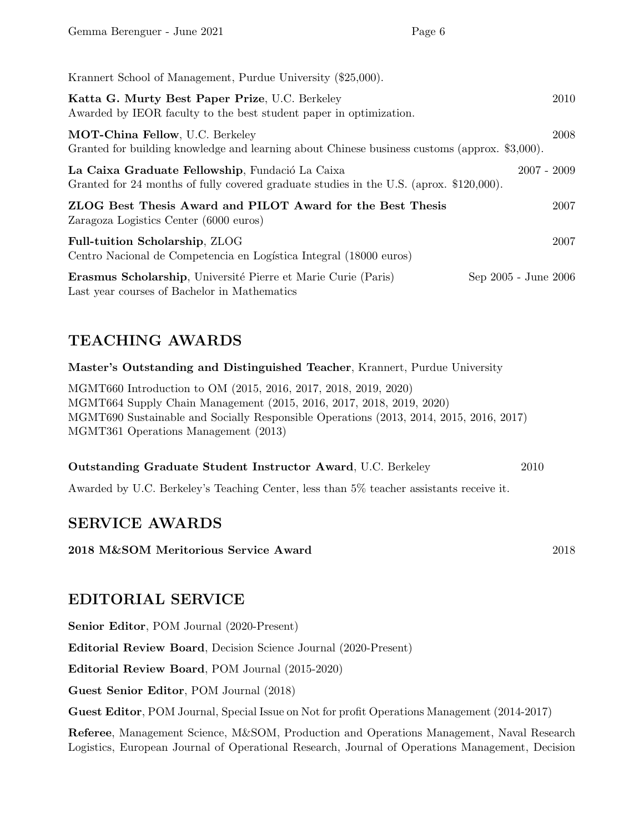| Krannert School of Management, Purdue University (\$25,000).                                                                               |                      |
|--------------------------------------------------------------------------------------------------------------------------------------------|----------------------|
| Katta G. Murty Best Paper Prize, U.C. Berkeley<br>Awarded by IEOR faculty to the best student paper in optimization.                       | 2010                 |
| MOT-China Fellow, U.C. Berkeley<br>Granted for building knowledge and learning about Chinese business customs (approx. \$3,000).           | 2008                 |
| La Caixa Graduate Fellowship, Fundació La Caixa<br>Granted for 24 months of fully covered graduate studies in the U.S. (aprox. \$120,000). | $2007 - 2009$        |
| ZLOG Best Thesis Award and PILOT Award for the Best Thesis<br>Zaragoza Logistics Center (6000 euros)                                       | 2007                 |
| <b>Full-tuition Scholarship, ZLOG</b><br>Centro Nacional de Competencia en Logística Integral (18000 euros)                                | 2007                 |
| Erasmus Scholarship, Université Pierre et Marie Curie (Paris)<br>Last year courses of Bachelor in Mathematics                              | Sep 2005 - June 2006 |

# TEACHING AWARDS

Master's Outstanding and Distinguished Teacher, Krannert, Purdue University

MGMT660 Introduction to OM (2015, 2016, 2017, 2018, 2019, 2020) MGMT664 Supply Chain Management (2015, 2016, 2017, 2018, 2019, 2020) MGMT690 Sustainable and Socially Responsible Operations (2013, 2014, 2015, 2016, 2017) MGMT361 Operations Management (2013)

| <b>Outstanding Graduate Student Instructor Award, U.C. Berkeley</b> | 2010 |
|---------------------------------------------------------------------|------|
|---------------------------------------------------------------------|------|

Awarded by U.C. Berkeley's Teaching Center, less than 5% teacher assistants receive it.

### SERVICE AWARDS

2018 M&SOM Meritorious Service Award 2018

### EDITORIAL SERVICE

Senior Editor, POM Journal (2020-Present)

Editorial Review Board, Decision Science Journal (2020-Present)

Editorial Review Board, POM Journal (2015-2020)

Guest Senior Editor, POM Journal (2018)

Guest Editor, POM Journal, Special Issue on Not for profit Operations Management (2014-2017)

Referee, Management Science, M&SOM, Production and Operations Management, Naval Research Logistics, European Journal of Operational Research, Journal of Operations Management, Decision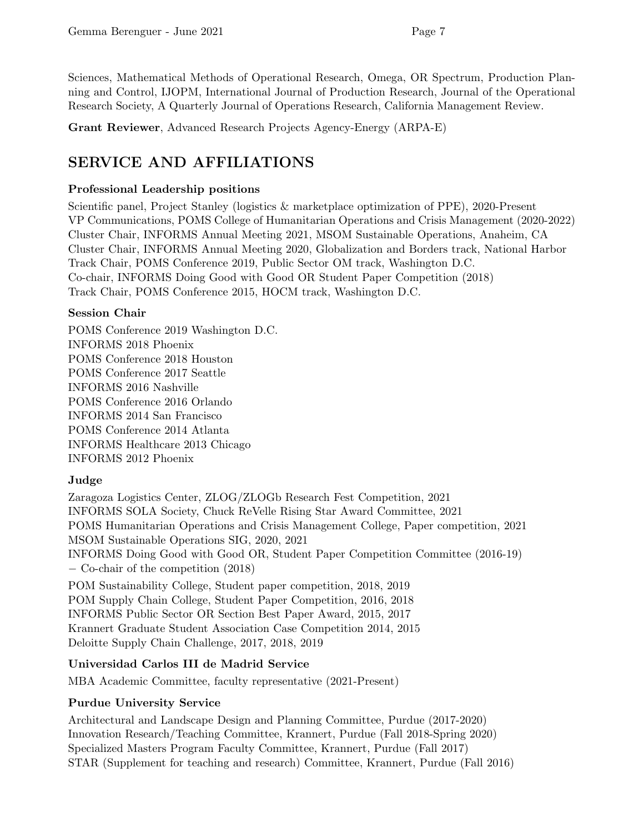Sciences, Mathematical Methods of Operational Research, Omega, OR Spectrum, Production Planning and Control, IJOPM, International Journal of Production Research, Journal of the Operational Research Society, A Quarterly Journal of Operations Research, California Management Review.

Grant Reviewer, Advanced Research Projects Agency-Energy (ARPA-E)

# SERVICE AND AFFILIATIONS

### Professional Leadership positions

Scientific panel, Project Stanley (logistics & marketplace optimization of PPE), 2020-Present VP Communications, POMS College of Humanitarian Operations and Crisis Management (2020-2022) Cluster Chair, INFORMS Annual Meeting 2021, MSOM Sustainable Operations, Anaheim, CA Cluster Chair, INFORMS Annual Meeting 2020, Globalization and Borders track, National Harbor Track Chair, POMS Conference 2019, Public Sector OM track, Washington D.C. Co-chair, INFORMS Doing Good with Good OR Student Paper Competition (2018) Track Chair, POMS Conference 2015, HOCM track, Washington D.C.

### Session Chair

POMS Conference 2019 Washington D.C. INFORMS 2018 Phoenix POMS Conference 2018 Houston POMS Conference 2017 Seattle INFORMS 2016 Nashville POMS Conference 2016 Orlando INFORMS 2014 San Francisco POMS Conference 2014 Atlanta INFORMS Healthcare 2013 Chicago INFORMS 2012 Phoenix

### Judge

Zaragoza Logistics Center, ZLOG/ZLOGb Research Fest Competition, 2021 INFORMS SOLA Society, Chuck ReVelle Rising Star Award Committee, 2021 POMS Humanitarian Operations and Crisis Management College, Paper competition, 2021 MSOM Sustainable Operations SIG, 2020, 2021 INFORMS Doing Good with Good OR, Student Paper Competition Committee (2016-19) − Co-chair of the competition (2018) POM Sustainability College, Student paper competition, 2018, 2019 POM Supply Chain College, Student Paper Competition, 2016, 2018 INFORMS Public Sector OR Section Best Paper Award, 2015, 2017 Krannert Graduate Student Association Case Competition 2014, 2015 Deloitte Supply Chain Challenge, 2017, 2018, 2019

### Universidad Carlos III de Madrid Service

MBA Academic Committee, faculty representative (2021-Present)

### Purdue University Service

Architectural and Landscape Design and Planning Committee, Purdue (2017-2020) Innovation Research/Teaching Committee, Krannert, Purdue (Fall 2018-Spring 2020) Specialized Masters Program Faculty Committee, Krannert, Purdue (Fall 2017) STAR (Supplement for teaching and research) Committee, Krannert, Purdue (Fall 2016)